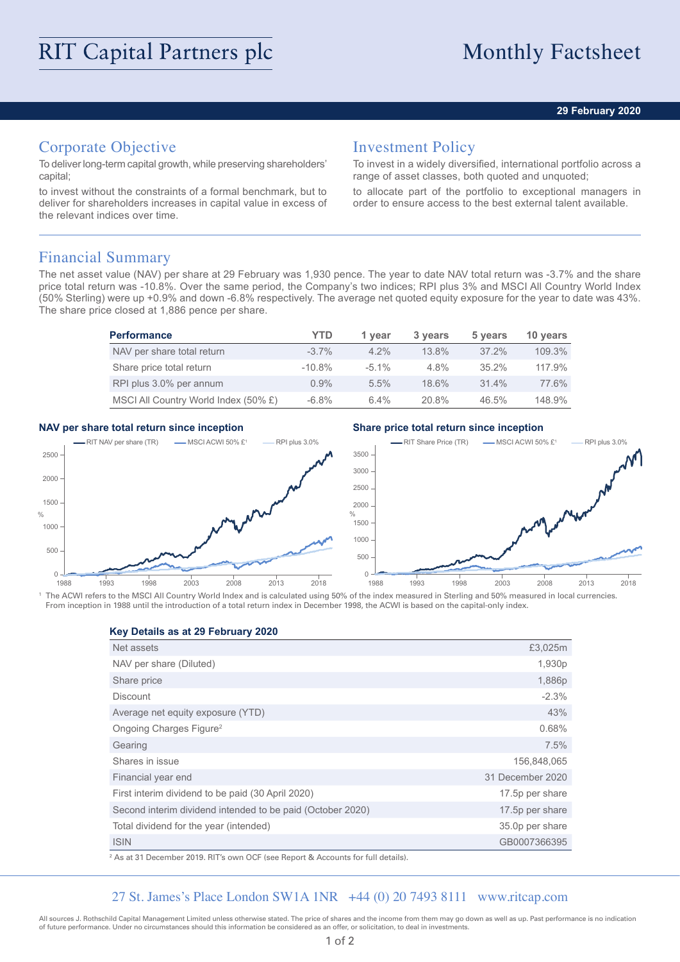## **29 February 2020**

# Corporate Objective

To deliver long-term capital growth, while preserving shareholders' capital;

to invest without the constraints of a formal benchmark, but to deliver for shareholders increases in capital value in excess of the relevant indices over time.

# Investment Policy

To invest in a widely diversified, international portfolio across a range of asset classes, both quoted and unquoted;

to allocate part of the portfolio to exceptional managers in order to ensure access to the best external talent available.

## Financial Summary

The net asset value (NAV) per share at 29 February was 1,930 pence. The year to date NAV total return was -3.7% and the share price total return was -10.8%. Over the same period, the Company's two indices; RPI plus 3% and MSCI All Country World Index (50% Sterling) were up +0.9% and down -6.8% respectively. The average net quoted equity exposure for the year to date was 43%. The share price closed at 1,886 pence per share.

| <b>Performance</b>                   | YTD       | 1 vear   | 3 years  | 5 years  | 10 years |
|--------------------------------------|-----------|----------|----------|----------|----------|
| NAV per share total return           | $-3.7\%$  | $4.2\%$  | $13.8\%$ | $37.2\%$ | 109.3%   |
| Share price total return             | $-10.8\%$ | $-5.1\%$ | $4.8\%$  | $35.2\%$ | 117.9%   |
| RPI plus 3.0% per annum              | 0.9%      | 5.5%     | 18.6%    | $31.4\%$ | 77.6%    |
| MSCI All Country World Index (50% £) | $-6.8\%$  | 6.4%     | 20.8%    | 46.5%    | 148.9%   |

## **NAV per share total return since inception Share price total return since inception**



<sup>1</sup> The ACWI refers to the MSCI All Country World Index and is calculated using 50% of the index measured in Sterling and 50% measured in local currencies. From inception in 1988 until the introduction of a total return index in December 1998, the ACWI is based on the capital-only index.

### **Key Details as at 29 February 2020**

| Net assets                                                 | £3,025m          |
|------------------------------------------------------------|------------------|
| NAV per share (Diluted)                                    | 1,930p           |
| Share price                                                | 1,886p           |
| <b>Discount</b>                                            | $-2.3%$          |
| Average net equity exposure (YTD)                          | 43%              |
| Ongoing Charges Figure <sup>2</sup>                        | 0.68%            |
| Gearing                                                    | 7.5%             |
| Shares in issue                                            | 156,848,065      |
| Financial year end                                         | 31 December 2020 |
| First interim dividend to be paid (30 April 2020)          | 17.5p per share  |
| Second interim dividend intended to be paid (October 2020) | 17.5p per share  |
| Total dividend for the year (intended)                     | 35.0p per share  |
| <b>ISIN</b>                                                | GB0007366395     |

2 As at 31 December 2019. RIT's own OCF (see Report & Accounts for full details).

## 27 St. James's Place London SW1A 1NR +44 (0) 20 7493 8111 www.ritcap.com

All sources J. Rothschild Capital Management Limited unless otherwise stated. The price of shares and the income from them may go down as well as up. Past performance is no indication of future performance. Under no circumstances should this information be considered as an offer, or solicitation, to deal in investments.